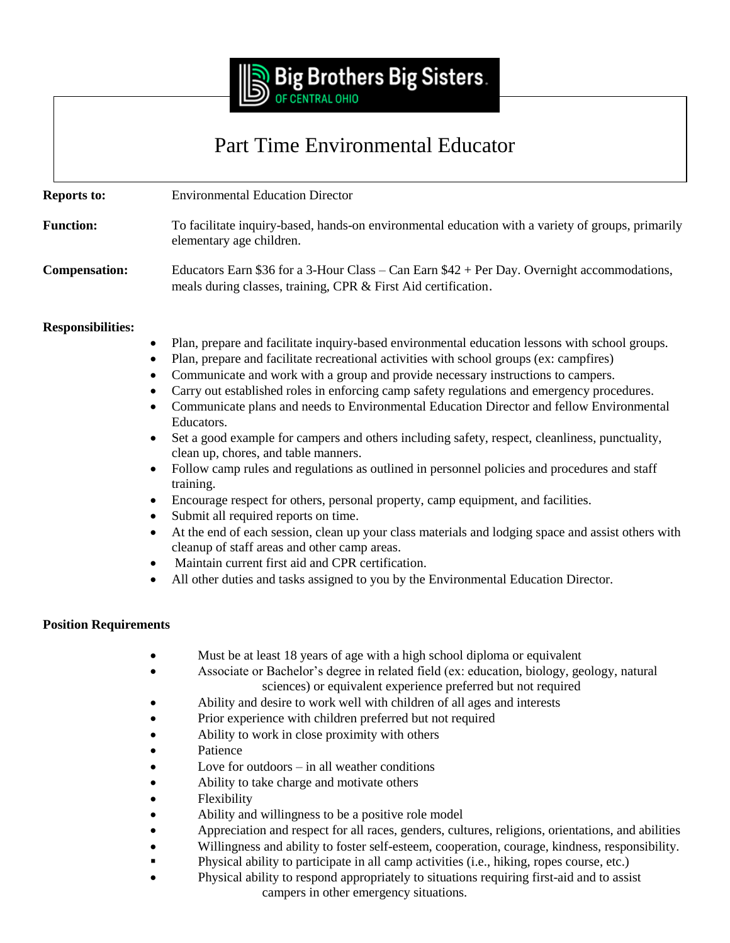

## Part Time Environmental Educator

| <b>Reports to:</b>   | <b>Environmental Education Director</b>                                                                                                                        |
|----------------------|----------------------------------------------------------------------------------------------------------------------------------------------------------------|
| <b>Function:</b>     | To facilitate inquiry-based, hands-on environmental education with a variety of groups, primarily<br>elementary age children.                                  |
| <b>Compensation:</b> | Educators Earn \$36 for a 3-Hour Class – Can Earn $$42 + Per$ Day. Overnight accommodations,<br>meals during classes, training, CPR & First Aid certification. |

## **Responsibilities:**

- Plan, prepare and facilitate inquiry-based environmental education lessons with school groups.
- Plan, prepare and facilitate recreational activities with school groups (ex: campfires)
- Communicate and work with a group and provide necessary instructions to campers.
- Carry out established roles in enforcing camp safety regulations and emergency procedures.
- Communicate plans and needs to Environmental Education Director and fellow Environmental Educators.
- Set a good example for campers and others including safety, respect, cleanliness, punctuality, clean up, chores, and table manners.
- Follow camp rules and regulations as outlined in personnel policies and procedures and staff training.
- Encourage respect for others, personal property, camp equipment, and facilities.
- Submit all required reports on time.
- At the end of each session, clean up your class materials and lodging space and assist others with cleanup of staff areas and other camp areas.
- Maintain current first aid and CPR certification.
- All other duties and tasks assigned to you by the Environmental Education Director.

## **Position Requirements**

- Must be at least 18 years of age with a high school diploma or equivalent
- Associate or Bachelor's degree in related field (ex: education, biology, geology, natural sciences) or equivalent experience preferred but not required
	- Ability and desire to work well with children of all ages and interests
- Prior experience with children preferred but not required
- Ability to work in close proximity with others
- Patience
- Love for outdoors in all weather conditions
- Ability to take charge and motivate others
- Flexibility
- Ability and willingness to be a positive role model
- Appreciation and respect for all races, genders, cultures, religions, orientations, and abilities
- Willingness and ability to foster self-esteem, cooperation, courage, kindness, responsibility.
- Physical ability to participate in all camp activities (i.e., hiking, ropes course, etc.)
- Physical ability to respond appropriately to situations requiring first-aid and to assist campers in other emergency situations.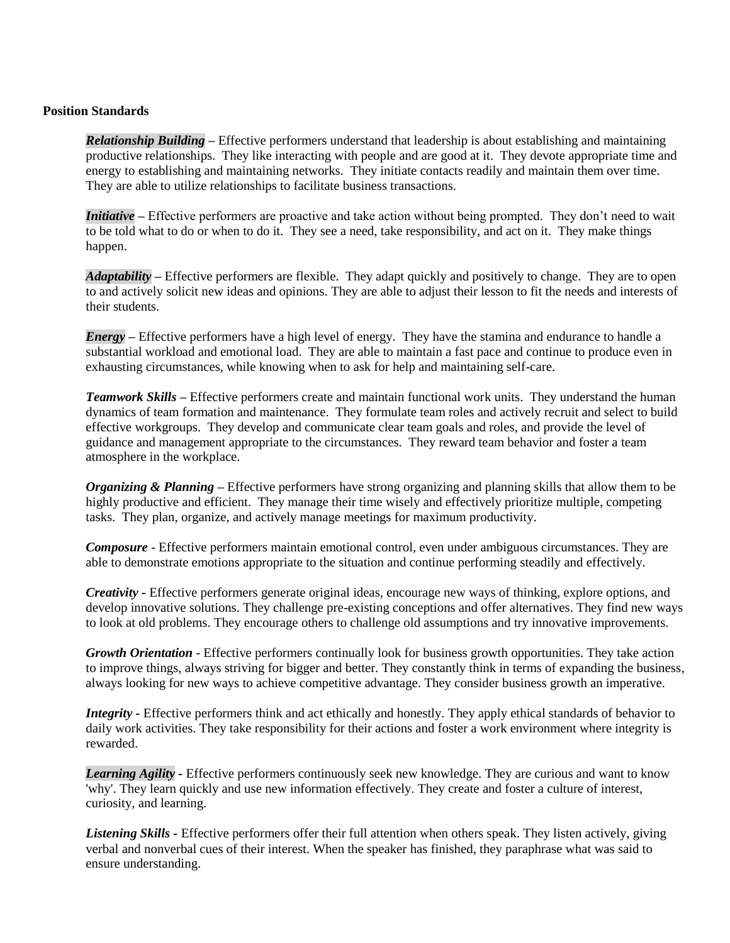## **Position Standards**

*Relationship Building –* Effective performers understand that leadership is about establishing and maintaining productive relationships. They like interacting with people and are good at it. They devote appropriate time and energy to establishing and maintaining networks. They initiate contacts readily and maintain them over time. They are able to utilize relationships to facilitate business transactions.

*Initiative –* Effective performers are proactive and take action without being prompted. They don't need to wait to be told what to do or when to do it. They see a need, take responsibility, and act on it. They make things happen.

*Adaptability –* Effective performers are flexible. They adapt quickly and positively to change. They are to open to and actively solicit new ideas and opinions. They are able to adjust their lesson to fit the needs and interests of their students.

*Energy –* Effective performers have a high level of energy. They have the stamina and endurance to handle a substantial workload and emotional load. They are able to maintain a fast pace and continue to produce even in exhausting circumstances, while knowing when to ask for help and maintaining self-care.

*Teamwork Skills –* Effective performers create and maintain functional work units. They understand the human dynamics of team formation and maintenance. They formulate team roles and actively recruit and select to build effective workgroups. They develop and communicate clear team goals and roles, and provide the level of guidance and management appropriate to the circumstances. They reward team behavior and foster a team atmosphere in the workplace.

*Organizing & Planning –* Effective performers have strong organizing and planning skills that allow them to be highly productive and efficient. They manage their time wisely and effectively prioritize multiple, competing tasks. They plan, organize, and actively manage meetings for maximum productivity.

*Composure* - Effective performers maintain emotional control, even under ambiguous circumstances. They are able to demonstrate emotions appropriate to the situation and continue performing steadily and effectively.

*Creativity -* Effective performers generate original ideas, encourage new ways of thinking, explore options, and develop innovative solutions. They challenge pre-existing conceptions and offer alternatives. They find new ways to look at old problems. They encourage others to challenge old assumptions and try innovative improvements.

*Growth Orientation* - Effective performers continually look for business growth opportunities. They take action to improve things, always striving for bigger and better. They constantly think in terms of expanding the business, always looking for new ways to achieve competitive advantage. They consider business growth an imperative.

*Integrity -* Effective performers think and act ethically and honestly. They apply ethical standards of behavior to daily work activities. They take responsibility for their actions and foster a work environment where integrity is rewarded.

*Learning Agility -* Effective performers continuously seek new knowledge. They are curious and want to know 'why'. They learn quickly and use new information effectively. They create and foster a culture of interest, curiosity, and learning.

*Listening Skills -* Effective performers offer their full attention when others speak. They listen actively, giving verbal and nonverbal cues of their interest. When the speaker has finished, they paraphrase what was said to ensure understanding.